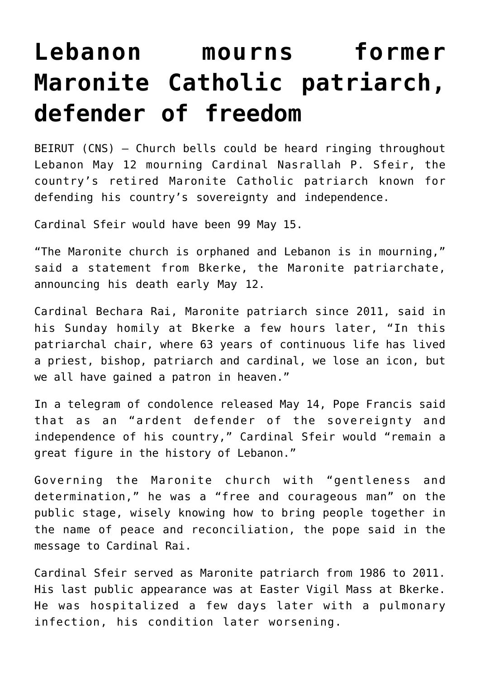## **[Lebanon mourns former](https://www.osvnews.com/amp/2019/05/14/lebanon-mourns-former-maronite-catholic-patriarch-defender-of-freedom/) [Maronite Catholic patriarch,](https://www.osvnews.com/amp/2019/05/14/lebanon-mourns-former-maronite-catholic-patriarch-defender-of-freedom/) [defender of freedom](https://www.osvnews.com/amp/2019/05/14/lebanon-mourns-former-maronite-catholic-patriarch-defender-of-freedom/)**

BEIRUT (CNS) — Church bells could be heard ringing throughout Lebanon May 12 mourning Cardinal Nasrallah P. Sfeir, the country's retired Maronite Catholic patriarch known for defending his country's sovereignty and independence.

Cardinal Sfeir would have been 99 May 15.

"The Maronite church is orphaned and Lebanon is in mourning," said a statement from Bkerke, the Maronite patriarchate, announcing his death early May 12.

Cardinal Bechara Rai, Maronite patriarch since 2011, said in his Sunday homily at Bkerke a few hours later, "In this patriarchal chair, where 63 years of continuous life has lived a priest, bishop, patriarch and cardinal, we lose an icon, but we all have gained a patron in heaven."

In a telegram of condolence released May 14, Pope Francis said that as an "ardent defender of the sovereignty and independence of his country," Cardinal Sfeir would "remain a great figure in the history of Lebanon."

Governing the Maronite church with "gentleness and determination," he was a "free and courageous man" on the public stage, wisely knowing how to bring people together in the name of peace and reconciliation, the pope said in the message to Cardinal Rai.

Cardinal Sfeir served as Maronite patriarch from 1986 to 2011. His last public appearance was at Easter Vigil Mass at Bkerke. He was hospitalized a few days later with a pulmonary infection, his condition later worsening.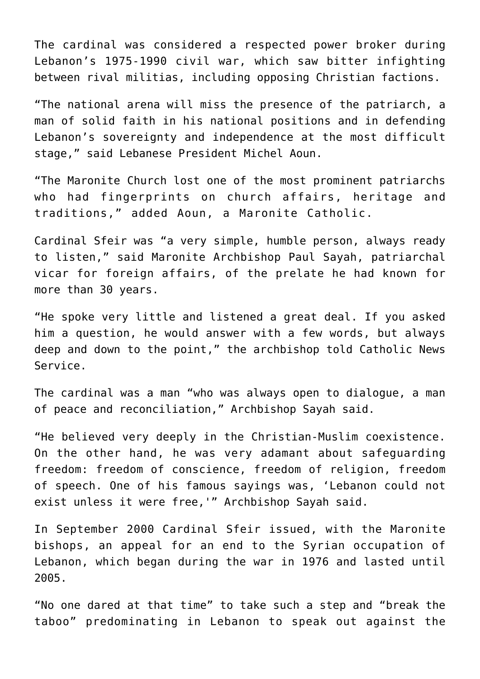The cardinal was considered a respected power broker during Lebanon's 1975-1990 civil war, which saw bitter infighting between rival militias, including opposing Christian factions.

"The national arena will miss the presence of the patriarch, a man of solid faith in his national positions and in defending Lebanon's sovereignty and independence at the most difficult stage," said Lebanese President Michel Aoun.

"The Maronite Church lost one of the most prominent patriarchs who had fingerprints on church affairs, heritage and traditions," added Aoun, a Maronite Catholic.

Cardinal Sfeir was "a very simple, humble person, always ready to listen," said Maronite Archbishop Paul Sayah, patriarchal vicar for foreign affairs, of the prelate he had known for more than 30 years.

"He spoke very little and listened a great deal. If you asked him a question, he would answer with a few words, but always deep and down to the point," the archbishop told Catholic News Service.

The cardinal was a man "who was always open to dialogue, a man of peace and reconciliation," Archbishop Sayah said.

"He believed very deeply in the Christian-Muslim coexistence. On the other hand, he was very adamant about safeguarding freedom: freedom of conscience, freedom of religion, freedom of speech. One of his famous sayings was, 'Lebanon could not exist unless it were free,'" Archbishop Sayah said.

In September 2000 Cardinal Sfeir issued, with the Maronite bishops, an appeal for an end to the Syrian occupation of Lebanon, which began during the war in 1976 and lasted until 2005.

"No one dared at that time" to take such a step and "break the taboo" predominating in Lebanon to speak out against the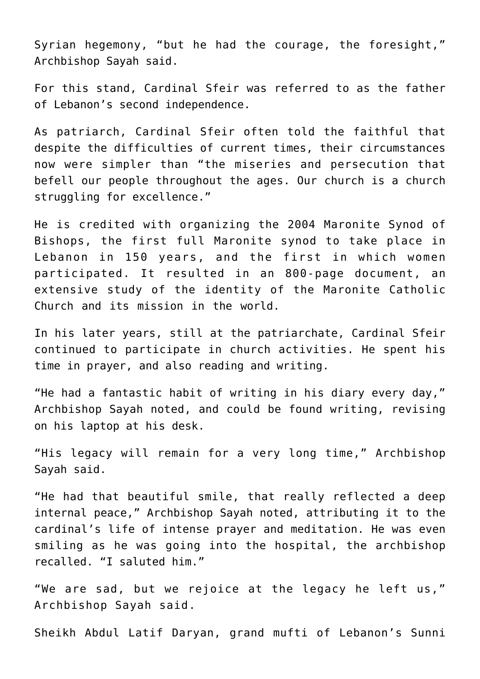Syrian hegemony, "but he had the courage, the foresight," Archbishop Sayah said.

For this stand, Cardinal Sfeir was referred to as the father of Lebanon's second independence.

As patriarch, Cardinal Sfeir often told the faithful that despite the difficulties of current times, their circumstances now were simpler than "the miseries and persecution that befell our people throughout the ages. Our church is a church struggling for excellence."

He is credited with organizing the 2004 Maronite Synod of Bishops, the first full Maronite synod to take place in Lebanon in 150 years, and the first in which women participated. It resulted in an 800-page document, an extensive study of the identity of the Maronite Catholic Church and its mission in the world.

In his later years, still at the patriarchate, Cardinal Sfeir continued to participate in church activities. He spent his time in prayer, and also reading and writing.

"He had a fantastic habit of writing in his diary every day," Archbishop Sayah noted, and could be found writing, revising on his laptop at his desk.

"His legacy will remain for a very long time," Archbishop Sayah said.

"He had that beautiful smile, that really reflected a deep internal peace," Archbishop Sayah noted, attributing it to the cardinal's life of intense prayer and meditation. He was even smiling as he was going into the hospital, the archbishop recalled. "I saluted him."

"We are sad, but we rejoice at the legacy he left us," Archbishop Sayah said.

Sheikh Abdul Latif Daryan, grand mufti of Lebanon's Sunni